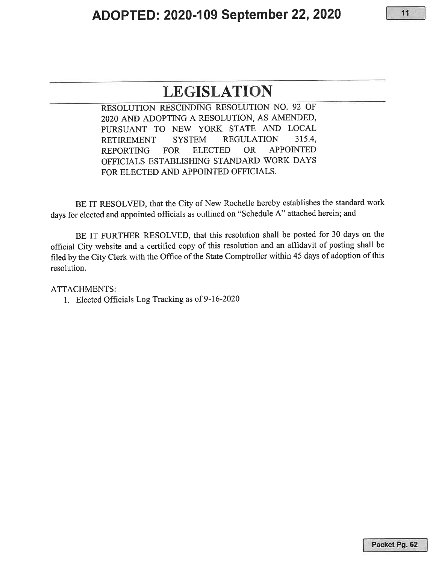## **LEGISLATION**

RESOLUTION RESCINDING RESOLUTION NO. 92 OF 2020 AND ADOPTING A RESOLUTION, AS AMENDED, PURSUANT TO NEW YORK STATE AND LOCAL RETIREMENT SYSTEM REGULATION 315.4, REPORTING FOR ELECTED OR APPOINTED OFFICIALS ESTABLISHING STANDARD WORK DAYS FOR ELECTED AND APPOINTED OFFICIALS.

BE IT RESOLVED, that the City of New Rochelle hereby establishes the standard work days for elected and appointed officials as outlined on "Schedule A" attached herein; and

BE IT FURTHER RESOLVED, that this resolution shall be posted for 30 days on the official City website and a certified copy of this resolution and an affidavit of posting shall be filed by the City Clerk with the Office of the State Comptroller within 45 days of adoption of this resolution.

ATTACHMENTS:

1. Elected Officials Log Tracking as of 9-16-2020